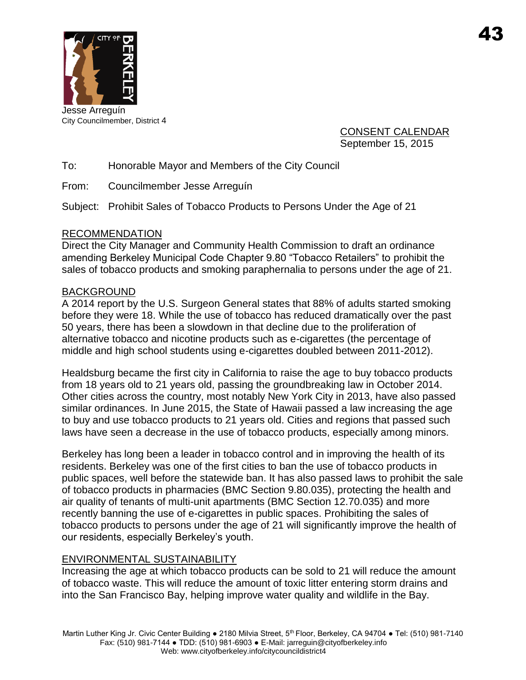

City Councilmember, District 4

CONSENT CALENDAR September 15, 2015

To: Honorable Mayor and Members of the City Council

From: Councilmember Jesse Arreguín

Subject: Prohibit Sales of Tobacco Products to Persons Under the Age of 21

### RECOMMENDATION

Direct the City Manager and Community Health Commission to draft an ordinance amending Berkeley Municipal Code Chapter 9.80 "Tobacco Retailers" to prohibit the sales of tobacco products and smoking paraphernalia to persons under the age of 21.

### BACKGROUND

A 2014 report by the U.S. Surgeon General states that 88% of adults started smoking before they were 18. While the use of tobacco has reduced dramatically over the past 50 years, there has been a slowdown in that decline due to the proliferation of alternative tobacco and nicotine products such as e-cigarettes (the percentage of middle and high school students using e-cigarettes doubled between 2011-2012).

Healdsburg became the first city in California to raise the age to buy tobacco products from 18 years old to 21 years old, passing the groundbreaking law in October 2014. Other cities across the country, most notably New York City in 2013, have also passed similar ordinances. In June 2015, the State of Hawaii passed a law increasing the age to buy and use tobacco products to 21 years old. Cities and regions that passed such laws have seen a decrease in the use of tobacco products, especially among minors.

Berkeley has long been a leader in tobacco control and in improving the health of its residents. Berkeley was one of the first cities to ban the use of tobacco products in public spaces, well before the statewide ban. It has also passed laws to prohibit the sale of tobacco products in pharmacies (BMC Section 9.80.035), protecting the health and air quality of tenants of multi-unit apartments (BMC Section 12.70.035) and more recently banning the use of e-cigarettes in public spaces. Prohibiting the sales of tobacco products to persons under the age of 21 will significantly improve the health of our residents, especially Berkeley's youth.

# ENVIRONMENTAL SUSTAINABILITY

Increasing the age at which tobacco products can be sold to 21 will reduce the amount of tobacco waste. This will reduce the amount of toxic litter entering storm drains and into the San Francisco Bay, helping improve water quality and wildlife in the Bay.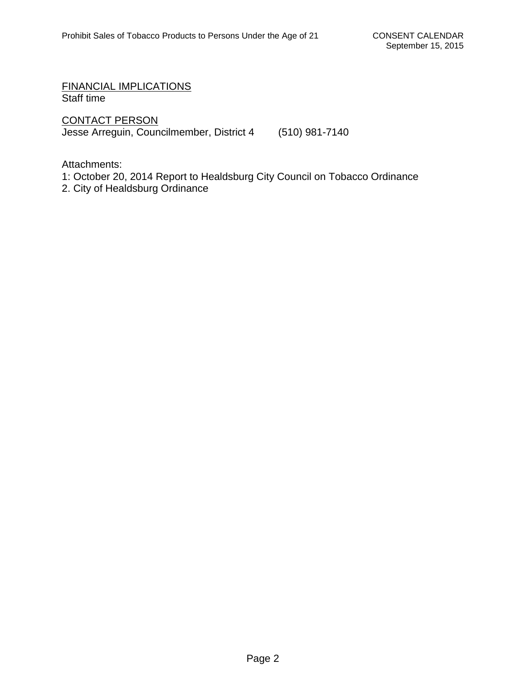FINANCIAL IMPLICATIONS Staff time

CONTACT PERSON Jesse Arreguin, Councilmember, District 4 (510) 981-7140

Attachments:

- 1: October 20, 2014 Report to Healdsburg City Council on Tobacco Ordinance
- 2. City of Healdsburg Ordinance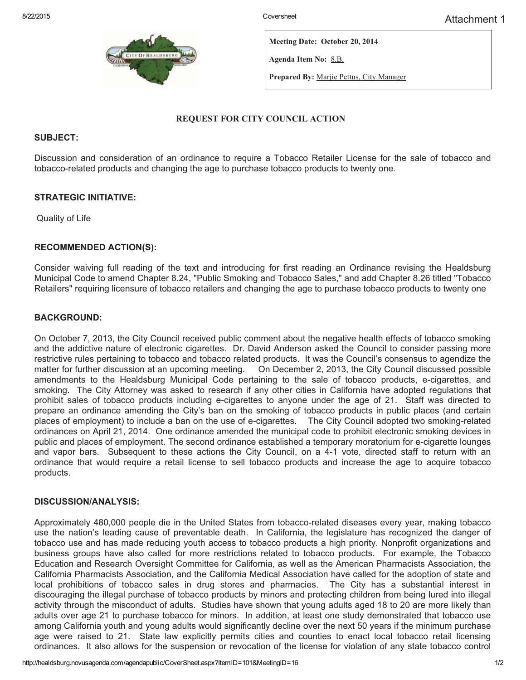

Meeting Date: October 20, 2014

Agenda Item No: 8.B.

Prepared By: Marjie Pettus, City Manager

#### REQUEST FOR CITY COUNCIL ACTION

#### SUBJECT:

Discussion and consideration of an ordinance to require a Tobacco Retailer License for the sale of tobacco and tobacco-related products and changing the age to purchase tobacco products to twenty one.

#### STRATEGIC INITIATIVE:

Quality of Life

#### RECOMMENDED ACTION(S):

Consider waiving full reading of the text and introducing for first reading an Ordinance revising the Healdsburg Municipal Code to amend Chapter 8.24, "Public Smoking and Tobacco Sales," and add Chapter 8.26 titled "Tobacco Retailers" requiring licensure of tobacco retailers and changing the age to purchase tobacco products to twenty one

#### BACKGROUND:

On October 7, 2013, the City Council received public comment about the negative health effects of tobacco smoking and the addictive nature of electronic cigarettes. Dr. David Anderson asked the Council to consider passing more restrictive rules pertaining to tobacco and tobacco related products. It was the Council's consensus to agendize the matter for further discussion at an upcoming meeting. On December 2, 2013, the City Council discussed possible amendments to the Healdsburg Municipal Code pertaining to the sale of tobacco products, e-cigarettes, and smoking. The City Attorney was asked to research if any other cities in California have adopted regulations that prohibit sales of tobacco products including e-cigarettes to anyone under the age of 21. Staff was directed to prepare an ordinance amending the City's ban on the smoking of tobacco products in public places (and certain places of employment) to include a ban on the use of e-cigarettes. The City Council adopted two smoking-related ordinances on April 21, 2014. One ordinance amended the municipal code to prohibit electronic smoking devices in public and places of employment. The second ordinance established a temporary moratorium for e-cigarette lounges and vapor bars. Subsequent to these actions the City Council, on a 4-1 vote, directed staff to return with an ordinance that would require a retail license to sell tobacco products and increase the age to acquire tobacco products.

#### DISCUSSION/ANALYSIS:

Approximately 480,000 people die in the United States from tobacco-related diseases every year, making tobacco use the nation's leading cause of preventable death. In California, the legislature has recognized the danger of tobacco use and has made reducing youth access to tobacco products a high priority. Nonprofit organizations and business groups have also called for more restrictions related to tobacco products. For example, the Tobacco Education and Research Oversight Committee for California, as well as the American Pharmacists Association, the California Pharmacists Association, and the California Medical Association have called for the adoption of state and local prohibitions of tobacco sales in drug stores and pharmacies. The City has a substantial interest in discouraging the illegal purchase of tobacco products by minors and protecting children from being lured into illegal activity through the misconduct of adults. Studies have shown that young adults aged 18 to 20 are more likely than adults over age 21 to purchase tobacco for minors. In addition, at least one study demonstrated that tobacco use among California youth and young adults would significantly decline over the next 50 years if the minimum purchase age were raised to 21. State law explicitly permits cities and counties to enact local tobacco retail licensing ordinances. It also allows for the suspension or revocation of the license for violation of any state tobacco control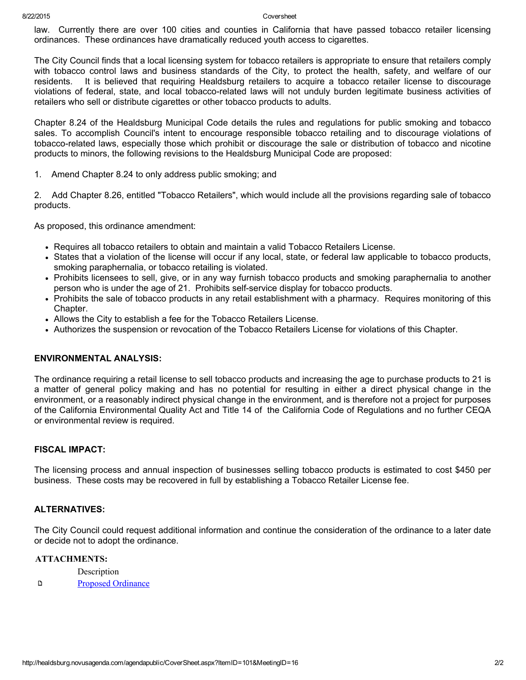8/22/2015 Coversheet

law. Currently there are over 100 cities and counties in California that have passed tobacco retailer licensing ordinances. These ordinances have dramatically reduced youth access to cigarettes.

The City Council finds that a local licensing system for tobacco retailers is appropriate to ensure that retailers comply with tobacco control laws and business standards of the City, to protect the health, safety, and welfare of our residents. It is believed that requiring Healdsburg retailers to acquire a tobacco retailer license to discourage violations of federal, state, and local tobacco-related laws will not unduly burden legitimate business activities of retailers who sell or distribute cigarettes or other tobacco products to adults.

Chapter 8.24 of the Healdsburg Municipal Code details the rules and regulations for public smoking and tobacco sales. To accomplish Council's intent to encourage responsible tobacco retailing and to discourage violations of tobaccorelated laws, especially those which prohibit or discourage the sale or distribution of tobacco and nicotine products to minors, the following revisions to the Healdsburg Municipal Code are proposed:

1. Amend Chapter 8.24 to only address public smoking; and

2. Add Chapter 8.26, entitled "Tobacco Retailers", which would include all the provisions regarding sale of tobacco products.

As proposed, this ordinance amendment:

- Requires all tobacco retailers to obtain and maintain a valid Tobacco Retailers License.
- States that a violation of the license will occur if any local, state, or federal law applicable to tobacco products, smoking paraphernalia, or tobacco retailing is violated.
- Prohibits licensees to sell, give, or in any way furnish tobacco products and smoking paraphernalia to another person who is under the age of 21. Prohibits self-service display for tobacco products.
- Prohibits the sale of tobacco products in any retail establishment with a pharmacy. Requires monitoring of this Chapter.
- Allows the City to establish a fee for the Tobacco Retailers License.
- Authorizes the suspension or revocation of the Tobacco Retailers License for violations of this Chapter.

### ENVIRONMENTAL ANALYSIS:

The ordinance requiring a retail license to sell tobacco products and increasing the age to purchase products to 21 is a matter of general policy making and has no potential for resulting in either a direct physical change in the environment, or a reasonably indirect physical change in the environment, and is therefore not a project for purposes of the California Environmental Quality Act and Title 14 of the California Code of Regulations and no further CEQA or environmental review is required.

#### FISCAL IMPACT:

The licensing process and annual inspection of businesses selling tobacco products is estimated to cost \$450 per business. These costs may be recovered in full by establishing a Tobacco Retailer License fee.

### ALTERNATIVES:

The City Council could request additional information and continue the consideration of the ordinance to a later date or decide not to adopt the ordinance.

#### ATTACHMENTS:

**Description** 

 $\mathbf D$ Proposed [Ordinance](http://healdsburg.novusagenda.com/agendapublic/AttachmentViewer.ashx?AttachmentID=201&ItemID=101)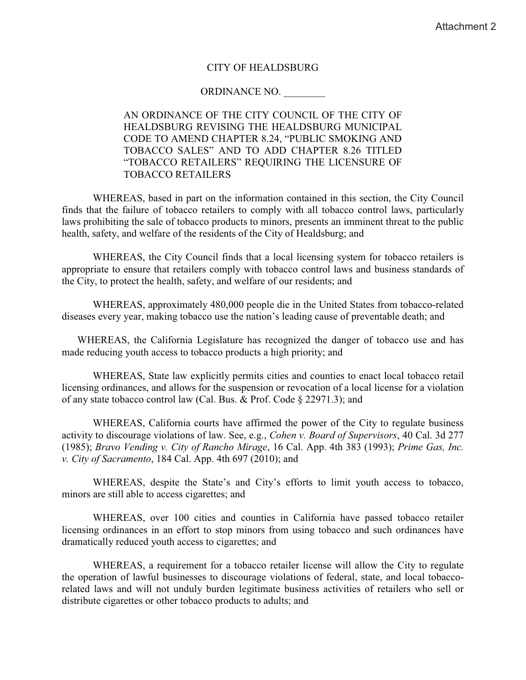#### **CITY OF HEALDSBURG**

#### ORDINANCE NO.

### AN ORDINANCE OF THE CITY COUNCIL OF THE CITY OF HEALDSBURG REVISING THE HEALDSBURG MUNICIPAL CODE TO AMEND CHAPTER 8.24, "PUBLIC SMOKING AND TOBACCO SALES" AND TO ADD CHAPTER 8.26 TITLED "TOBACCO RETAILERS" REQUIRING THE LICENSURE OF **TOBACCO RETAILERS**

WHEREAS, based in part on the information contained in this section, the City Council finds that the failure of tobacco retailers to comply with all tobacco control laws, particularly laws prohibiting the sale of tobacco products to minors, presents an imminent threat to the public health, safety, and welfare of the residents of the City of Healdsburg; and

WHEREAS, the City Council finds that a local licensing system for tobacco retailers is appropriate to ensure that retailers comply with tobacco control laws and business standards of the City, to protect the health, safety, and welfare of our residents; and

WHEREAS, approximately 480,000 people die in the United States from tobacco-related diseases every year, making tobacco use the nation's leading cause of preventable death; and

WHEREAS, the California Legislature has recognized the danger of tobacco use and has made reducing youth access to tobacco products a high priority; and

WHEREAS, State law explicitly permits cities and counties to enact local tobacco retail licensing ordinances, and allows for the suspension or revocation of a local license for a violation of any state tobacco control law (Cal. Bus. & Prof. Code § 22971.3); and

WHEREAS, California courts have affirmed the power of the City to regulate business activity to discourage violations of law. See, e.g., *Cohen v. Board of Supervisors*, 40 Cal. 3d 277 (1985); Bravo Vending v. City of Rancho Mirage, 16 Cal. App. 4th 383 (1993); Prime Gas, Inc. v. City of Sacramento, 184 Cal. App. 4th 697 (2010); and

WHEREAS, despite the State's and City's efforts to limit youth access to tobacco, minors are still able to access cigarettes; and

WHEREAS, over 100 cities and counties in California have passed tobacco retailer licensing ordinances in an effort to stop minors from using tobacco and such ordinances have dramatically reduced youth access to cigarettes; and

WHEREAS, a requirement for a tobacco retailer license will allow the City to regulate the operation of lawful businesses to discourage violations of federal, state, and local tobaccorelated laws and will not unduly burden legitimate business activities of retailers who sell or distribute cigarettes or other tobacco products to adults; and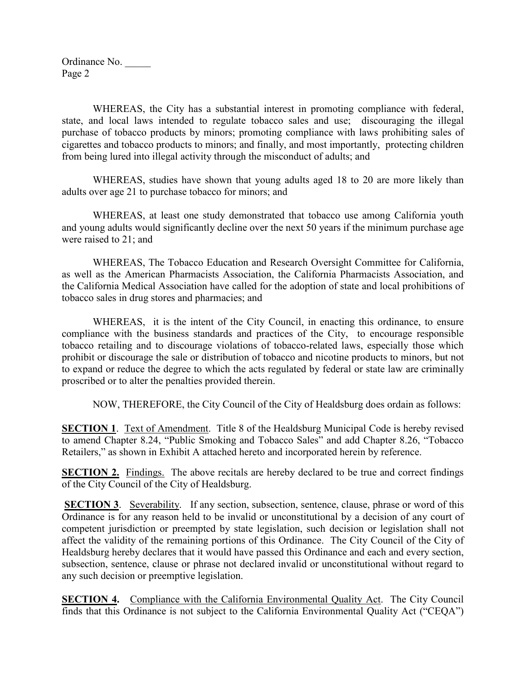WHEREAS, the City has a substantial interest in promoting compliance with federal, state, and local laws intended to regulate tobacco sales and use; discouraging the illegal purchase of tobacco products by minors; promoting compliance with laws prohibiting sales of cigarettes and tobacco products to minors; and finally, and most importantly, protecting children from being lured into illegal activity through the misconduct of adults; and

WHEREAS, studies have shown that young adults aged 18 to 20 are more likely than adults over age 21 to purchase tobacco for minors; and

WHEREAS, at least one study demonstrated that tobacco use among California youth and young adults would significantly decline over the next 50 years if the minimum purchase age were raised to 21; and

WHEREAS, The Tobacco Education and Research Oversight Committee for California, as well as the American Pharmacists Association, the California Pharmacists Association, and the California Medical Association have called for the adoption of state and local prohibitions of tobacco sales in drug stores and pharmacies; and

WHEREAS, it is the intent of the City Council, in enacting this ordinance, to ensure compliance with the business standards and practices of the City, to encourage responsible tobacco retailing and to discourage violations of tobacco-related laws, especially those which prohibit or discourage the sale or distribution of tobacco and nicotine products to minors, but not to expand or reduce the degree to which the acts regulated by federal or state law are criminally proscribed or to alter the penalties provided therein.

NOW, THEREFORE, the City Council of the City of Healdsburg does ordain as follows:

**SECTION 1.** Text of Amendment. Title 8 of the Healdsburg Municipal Code is hereby revised to amend Chapter 8.24, "Public Smoking and Tobacco Sales" and add Chapter 8.26, "Tobacco Retailers," as shown in Exhibit A attached hereto and incorporated herein by reference.

**SECTION 2.** Findings. The above recitals are hereby declared to be true and correct findings of the City Council of the City of Healdsburg.

**SECTION 3**. Severability. If any section, subsection, sentence, clause, phrase or word of this Ordinance is for any reason held to be invalid or unconstitutional by a decision of any court of competent jurisdiction or preempted by state legislation, such decision or legislation shall not affect the validity of the remaining portions of this Ordinance. The City Council of the City of Healdsburg hereby declares that it would have passed this Ordinance and each and every section, subsection, sentence, clause or phrase not declared invalid or unconstitutional without regard to any such decision or preemptive legislation.

**SECTION 4.** Compliance with the California Environmental Quality Act. The City Council finds that this Ordinance is not subject to the California Environmental Quality Act ("CEQA")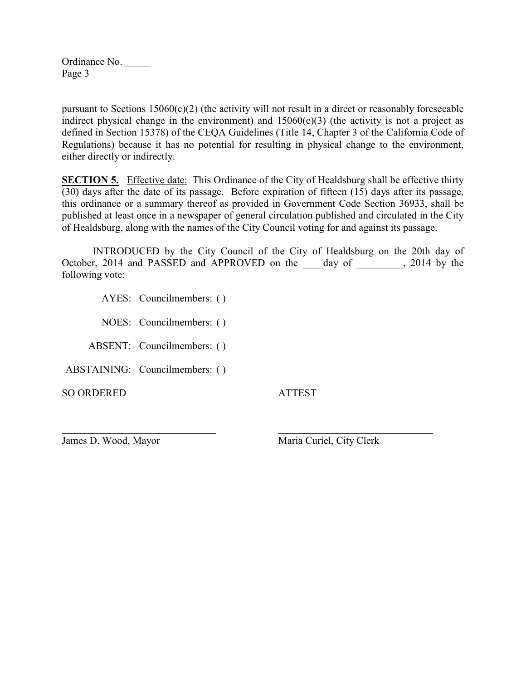pursuant to Sections 15060(c)(2) (the activity will not result in a direct or reasonably foreseeable indirect physical change in the environment) and  $15060(c)(3)$  (the activity is not a project as defined in Section 15378) of the CEQA Guidelines (Title 14, Chapter 3 of the California Code of Regulations) because it has no potential for resulting in physical change to the environment, either directly or indirectly.

**SECTION 5.** Effective date: This Ordinance of the City of Healdsburg shall be effective thirty (30) days after the date of its passage. Before expiration of fifteen (15) days after its passage, this ordinance or a summary thereof as provided in Government Code Section 36933, shall be published at least once in a newspaper of general circulation published and circulated in the City of Healdsburg, along with the names of the City Council voting for and against its passage.

INTRODUCED by the City Council of the City of Healdsburg on the 20th day of October, 2014 and PASSED and APPROVED on the \_\_\_\_day of \_\_\_\_\_\_\_, 2014 by the following vote:

AYES: Councilmembers: ( )

NOES: Councilmembers: ( )

ABSENT: Councilmembers: ( )

ABSTAINING: Councilmembers: ( )

SO ORDERED ATTEST

 $\overline{a}$ 

James D. Wood, Mayor Maria Curiel, City Clerk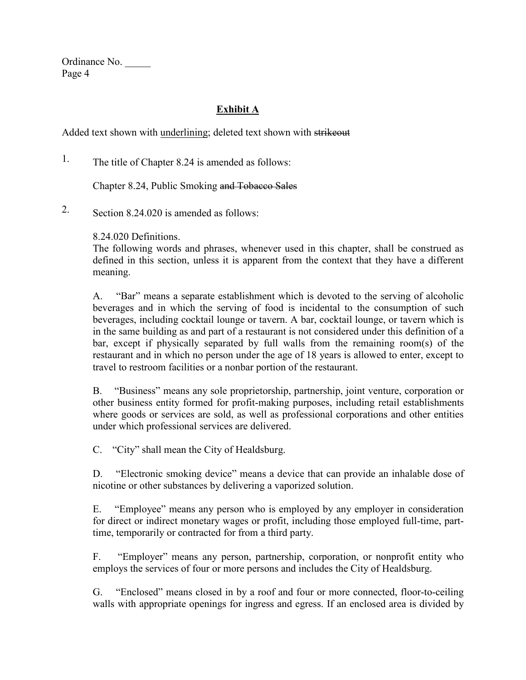Ordinance No. \_\_\_\_\_ Page 4

# **Exhibit A**

Added text shown with underlining; deleted text shown with strikeout

1. The title of Chapter 8.24 is amended as follows:

Chapter 8.24, Public Smoking and Tobacco Sales

2. Section 8.24.020 is amended as follows:

8.24.020 Definitions.

The following words and phrases, whenever used in this chapter, shall be construed as defined in this section, unless it is apparent from the context that they have a different meaning.

A. "Bar" means a separate establishment which is devoted to the serving of alcoholic beverages and in which the serving of food is incidental to the consumption of such beverages, including cocktail lounge or tavern. A bar, cocktail lounge, or tavern which is in the same building as and part of a restaurant is not considered under this definition of a bar, except if physically separated by full walls from the remaining room(s) of the restaurant and in which no person under the age of 18 years is allowed to enter, except to travel to restroom facilities or a nonbar portion of the restaurant.

B. "Business" means any sole proprietorship, partnership, joint venture, corporation or other business entity formed for profit-making purposes, including retail establishments where goods or services are sold, as well as professional corporations and other entities under which professional services are delivered.

C. "City" shall mean the City of Healdsburg.

D. "Electronic smoking device" means a device that can provide an inhalable dose of nicotine or other substances by delivering a vaporized solution.

E. "Employee" means any person who is employed by any employer in consideration for direct or indirect monetary wages or profit, including those employed full-time, parttime, temporarily or contracted for from a third party.

F. "Employer" means any person, partnership, corporation, or nonprofit entity who employs the services of four or more persons and includes the City of Healdsburg.

G. "Enclosed" means closed in by a roof and four or more connected, floor-to-ceiling walls with appropriate openings for ingress and egress. If an enclosed area is divided by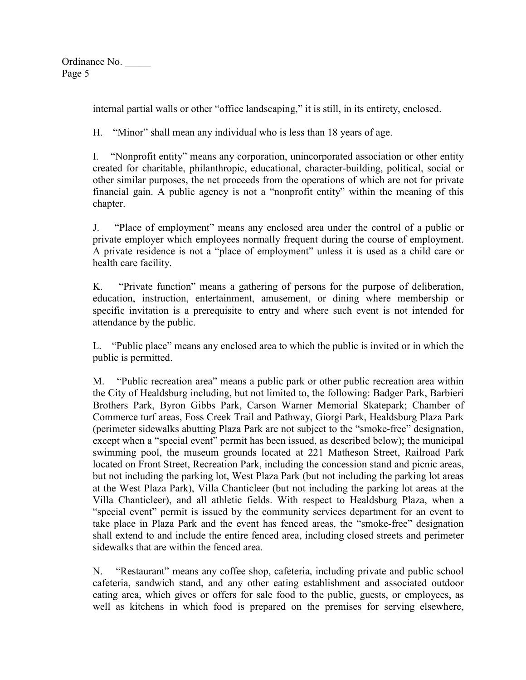Ordinance No. \_\_\_\_\_ Page 5

internal partial walls or other "office landscaping," it is still, in its entirety, enclosed.

H. "Minor" shall mean any individual who is less than 18 years of age.

I. "Nonprofit entity" means any corporation, unincorporated association or other entity created for charitable, philanthropic, educational, character-building, political, social or other similar purposes, the net proceeds from the operations of which are not for private financial gain. A public agency is not a "nonprofit entity" within the meaning of this chapter.

J. "Place of employment" means any enclosed area under the control of a public or private employer which employees normally frequent during the course of employment. A private residence is not a "place of employment" unless it is used as a child care or health care facility.

K. "Private function" means a gathering of persons for the purpose of deliberation, education, instruction, entertainment, amusement, or dining where membership or specific invitation is a prerequisite to entry and where such event is not intended for attendance by the public.

L. "Public place" means any enclosed area to which the public is invited or in which the public is permitted.

M. "Public recreation area" means a public park or other public recreation area within the City of Healdsburg including, but not limited to, the following: Badger Park, Barbieri Brothers Park, Byron Gibbs Park, Carson Warner Memorial Skatepark; Chamber of Commerce turf areas, Foss Creek Trail and Pathway, Giorgi Park, Healdsburg Plaza Park (perimeter sidewalks abutting Plaza Park are not subject to the "smoke-free" designation, except when a "special event" permit has been issued, as described below); the municipal swimming pool, the museum grounds located at 221 Matheson Street, Railroad Park located on Front Street, Recreation Park, including the concession stand and picnic areas, but not including the parking lot, West Plaza Park (but not including the parking lot areas at the West Plaza Park), Villa Chanticleer (but not including the parking lot areas at the Villa Chanticleer), and all athletic fields. With respect to Healdsburg Plaza, when a "special event" permit is issued by the community services department for an event to take place in Plaza Park and the event has fenced areas, the "smoke-free" designation shall extend to and include the entire fenced area, including closed streets and perimeter sidewalks that are within the fenced area.

N. "Restaurant" means any coffee shop, cafeteria, including private and public school cafeteria, sandwich stand, and any other eating establishment and associated outdoor eating area, which gives or offers for sale food to the public, guests, or employees, as well as kitchens in which food is prepared on the premises for serving elsewhere,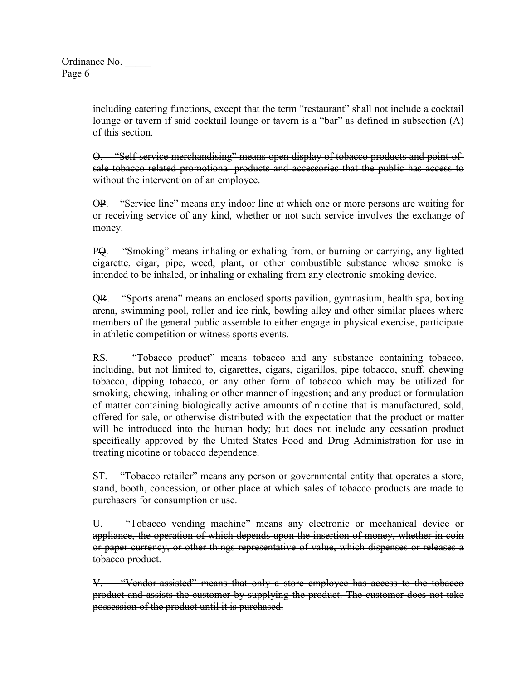including catering functions, except that the term "restaurant" shall not include a cocktail lounge or tavern if said cocktail lounge or tavern is a "bar" as defined in subsection (A) of this section.

O. "Self-service merchandising" means open display of tobacco products and point-ofsale tobacco-related promotional products and accessories that the public has access to without the intervention of an employee.

OP. "Service line" means any indoor line at which one or more persons are waiting for or receiving service of any kind, whether or not such service involves the exchange of money.

PQ. "Smoking" means inhaling or exhaling from, or burning or carrying, any lighted cigarette, cigar, pipe, weed, plant, or other combustible substance whose smoke is intended to be inhaled, or inhaling or exhaling from any electronic smoking device.

QR. "Sports arena" means an enclosed sports pavilion, gymnasium, health spa, boxing arena, swimming pool, roller and ice rink, bowling alley and other similar places where members of the general public assemble to either engage in physical exercise, participate in athletic competition or witness sports events.

RS. "Tobacco product" means tobacco and any substance containing tobacco, including, but not limited to, cigarettes, cigars, cigarillos, pipe tobacco, snuff, chewing tobacco, dipping tobacco, or any other form of tobacco which may be utilized for smoking, chewing, inhaling or other manner of ingestion; and any product or formulation of matter containing biologically active amounts of nicotine that is manufactured, sold, offered for sale, or otherwise distributed with the expectation that the product or matter will be introduced into the human body; but does not include any cessation product specifically approved by the United States Food and Drug Administration for use in treating nicotine or tobacco dependence.

ST. "Tobacco retailer" means any person or governmental entity that operates a store, stand, booth, concession, or other place at which sales of tobacco products are made to purchasers for consumption or use.

U. "Tobacco vending machine" means any electronic or mechanical device or appliance, the operation of which depends upon the insertion of money, whether in coin or paper currency, or other things representative of value, which dispenses or releases a tobacco product.

V. "Vendor-assisted" means that only a store employee has access to the tobacco product and assists the customer by supplying the product. The customer does not take possession of the product until it is purchased.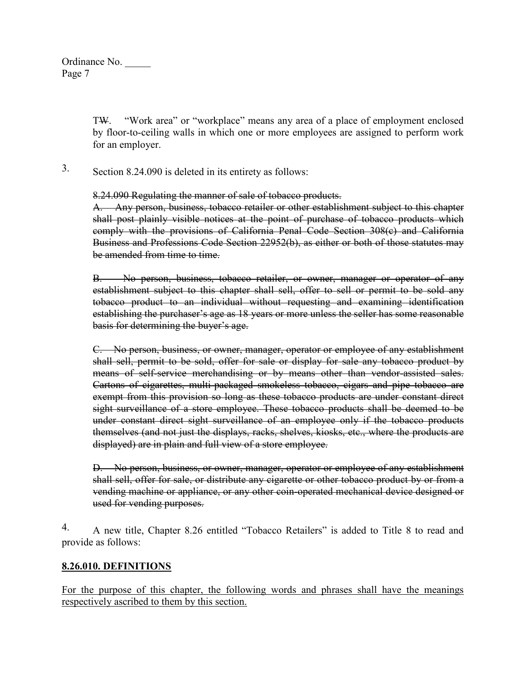Ordinance No. \_\_\_\_\_ Page 7

> TW. "Work area" or "workplace" means any area of a place of employment enclosed by floor-to-ceiling walls in which one or more employees are assigned to perform work for an employer.

3. Section 8.24.090 is deleted in its entirety as follows:

8.24.090 Regulating the manner of sale of tobacco products.

A. Any person, business, tobacco retailer or other establishment subject to this chapter shall post plainly visible notices at the point of purchase of tobacco products which comply with the provisions of California Penal Code Section 308(c) and California Business and Professions Code Section 22952(b), as either or both of those statutes may be amended from time to time.

B. No person, business, tobacco retailer, or owner, manager or operator of any establishment subject to this chapter shall sell, offer to sell or permit to be sold any tobacco product to an individual without requesting and examining identification establishing the purchaser's age as 18 years or more unless the seller has some reasonable basis for determining the buyer's age.

C. No person, business, or owner, manager, operator or employee of any establishment shall sell, permit to be sold, offer for sale or display for sale any tobacco product by means of self-service merchandising or by means other than vendor-assisted sales. Cartons of cigarettes, multi-packaged smokeless tobacco, cigars and pipe tobacco are exempt from this provision so long as these tobacco products are under constant direct sight surveillance of a store employee. These tobacco products shall be deemed to be under constant direct sight surveillance of an employee only if the tobacco products themselves (and not just the displays, racks, shelves, kiosks, etc., where the products are displayed) are in plain and full view of a store employee.

D. No person, business, or owner, manager, operator or employee of any establishment shall sell, offer for sale, or distribute any cigarette or other tobacco product by or from a vending machine or appliance, or any other coin-operated mechanical device designed or used for vending purposes.

4. A new title, Chapter 8.26 entitled "Tobacco Retailers" is added to Title 8 to read and provide as follows:

### **8.26.010. DEFINITIONS**

For the purpose of this chapter, the following words and phrases shall have the meanings respectively ascribed to them by this section.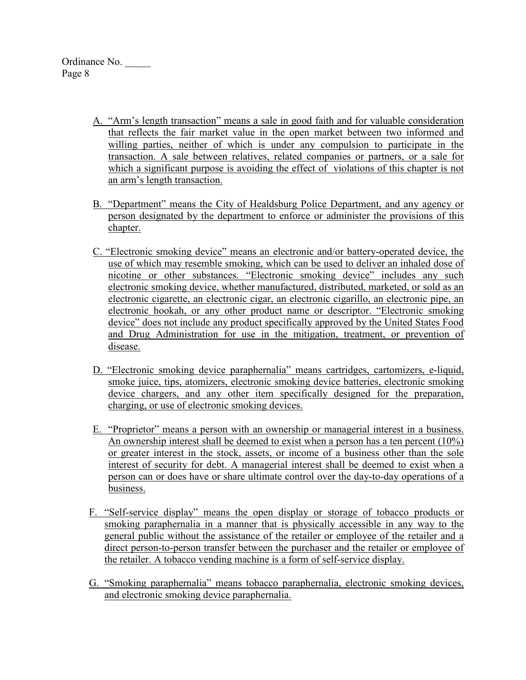- A. "Arm's length transaction" means a sale in good faith and for valuable consideration that reflects the fair market value in the open market between two informed and willing parties, neither of which is under any compulsion to participate in the transaction. A sale between relatives, related companies or partners, or a sale for which a significant purpose is avoiding the effect of violations of this chapter is not an arm's length transaction.
- B. "Department" means the City of Healdsburg Police Department, and any agency or person designated by the department to enforce or administer the provisions of this chapter.
- C. "Electronic smoking device" means an electronic and/or battery-operated device, the use of which may resemble smoking, which can be used to deliver an inhaled dose of nicotine or other substances. "Electronic smoking device" includes any such electronic smoking device, whether manufactured, distributed, marketed, or sold as an electronic cigarette, an electronic cigar, an electronic cigarillo, an electronic pipe, an electronic hookah, or any other product name or descriptor. "Electronic smoking device" does not include any product specifically approved by the United States Food and Drug Administration for use in the mitigation, treatment, or prevention of disease.
- D. "Electronic smoking device paraphernalia" means cartridges, cartomizers, e-liquid, smoke juice, tips, atomizers, electronic smoking device batteries, electronic smoking device chargers, and any other item specifically designed for the preparation, charging, or use of electronic smoking devices.
- E. "Proprietor" means a person with an ownership or managerial interest in a business. An ownership interest shall be deemed to exist when a person has a ten percent (10%) or greater interest in the stock, assets, or income of a business other than the sole interest of security for debt. A managerial interest shall be deemed to exist when a person can or does have or share ultimate control over the day-to-day operations of a business.
- F. "Self-service display" means the open display or storage of tobacco products or smoking paraphernalia in a manner that is physically accessible in any way to the general public without the assistance of the retailer or employee of the retailer and a direct person-to-person transfer between the purchaser and the retailer or employee of the retailer. A tobacco vending machine is a form of self-service display.
- G. "Smoking paraphernalia" means tobacco paraphernalia, electronic smoking devices, and electronic smoking device paraphernalia.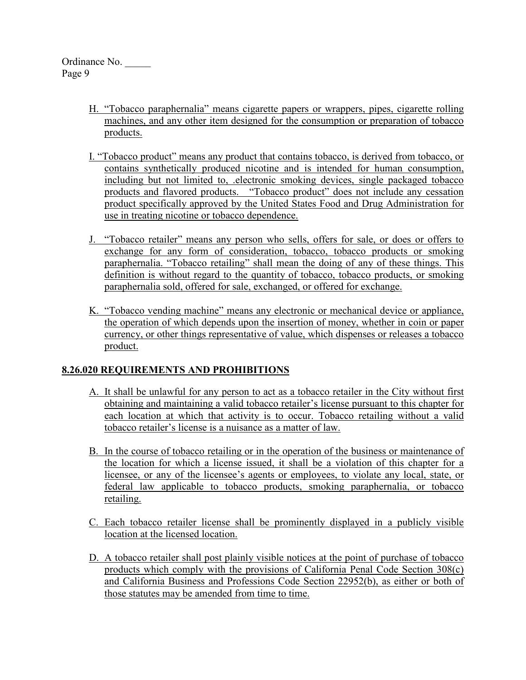- H. "Tobacco paraphernalia" means cigarette papers or wrappers, pipes, cigarette rolling machines, and any other item designed for the consumption or preparation of tobacco products.
- I. "Tobacco product" means any product that contains tobacco, is derived from tobacco, or contains synthetically produced nicotine and is intended for human consumption, including but not limited to, .electronic smoking devices, single packaged tobacco products and flavored products. "Tobacco product" does not include any cessation product specifically approved by the United States Food and Drug Administration for use in treating nicotine or tobacco dependence.
- J. "Tobacco retailer" means any person who sells, offers for sale, or does or offers to exchange for any form of consideration, tobacco, tobacco products or smoking paraphernalia. "Tobacco retailing" shall mean the doing of any of these things. This definition is without regard to the quantity of tobacco, tobacco products, or smoking paraphernalia sold, offered for sale, exchanged, or offered for exchange.
- K. "Tobacco vending machine" means any electronic or mechanical device or appliance, the operation of which depends upon the insertion of money, whether in coin or paper currency, or other things representative of value, which dispenses or releases a tobacco product.

# **8.26.020 REQUIREMENTS AND PROHIBITIONS**

- A. It shall be unlawful for any person to act as a tobacco retailer in the City without first obtaining and maintaining a valid tobacco retailer's license pursuant to this chapter for each location at which that activity is to occur. Tobacco retailing without a valid tobacco retailer's license is a nuisance as a matter of law.
- B. In the course of tobacco retailing or in the operation of the business or maintenance of the location for which a license issued, it shall be a violation of this chapter for a licensee, or any of the licensee's agents or employees, to violate any local, state, or federal law applicable to tobacco products, smoking paraphernalia, or tobacco retailing.
- C. Each tobacco retailer license shall be prominently displayed in a publicly visible location at the licensed location.
- D. A tobacco retailer shall post plainly visible notices at the point of purchase of tobacco products which comply with the provisions of California Penal Code Section 308(c) and California Business and Professions Code Section 22952(b), as either or both of those statutes may be amended from time to time.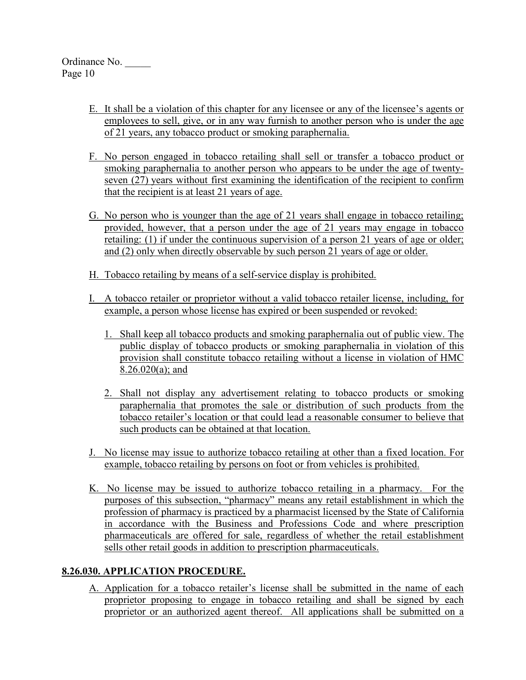- E. It shall be a violation of this chapter for any licensee or any of the licensee's agents or employees to sell, give, or in any way furnish to another person who is under the age of 21 years, any tobacco product or smoking paraphernalia.
- F. No person engaged in tobacco retailing shall sell or transfer a tobacco product or smoking paraphernalia to another person who appears to be under the age of twentyseven (27) years without first examining the identification of the recipient to confirm that the recipient is at least 21 years of age.
- G. No person who is younger than the age of 21 years shall engage in tobacco retailing; provided, however, that a person under the age of 21 years may engage in tobacco retailing: (1) if under the continuous supervision of a person 21 years of age or older; and (2) only when directly observable by such person 21 years of age or older.
- H. Tobacco retailing by means of a self-service display is prohibited.
- I. A tobacco retailer or proprietor without a valid tobacco retailer license, including, for example, a person whose license has expired or been suspended or revoked:
	- 1. Shall keep all tobacco products and smoking paraphernalia out of public view. The public display of tobacco products or smoking paraphernalia in violation of this provision shall constitute tobacco retailing without a license in violation of HMC 8.26.020(a); and
	- 2. Shall not display any advertisement relating to tobacco products or smoking paraphernalia that promotes the sale or distribution of such products from the tobacco retailer's location or that could lead a reasonable consumer to believe that such products can be obtained at that location.
- J. No license may issue to authorize tobacco retailing at other than a fixed location. For example, tobacco retailing by persons on foot or from vehicles is prohibited.
- K. No license may be issued to authorize tobacco retailing in a pharmacy. For the purposes of this subsection, "pharmacy" means any retail establishment in which the profession of pharmacy is practiced by a pharmacist licensed by the State of California in accordance with the Business and Professions Code and where prescription pharmaceuticals are offered for sale, regardless of whether the retail establishment sells other retail goods in addition to prescription pharmaceuticals.

# **8.26.030. APPLICATION PROCEDURE.**

A. Application for a tobacco retailer's license shall be submitted in the name of each proprietor proposing to engage in tobacco retailing and shall be signed by each proprietor or an authorized agent thereof. All applications shall be submitted on a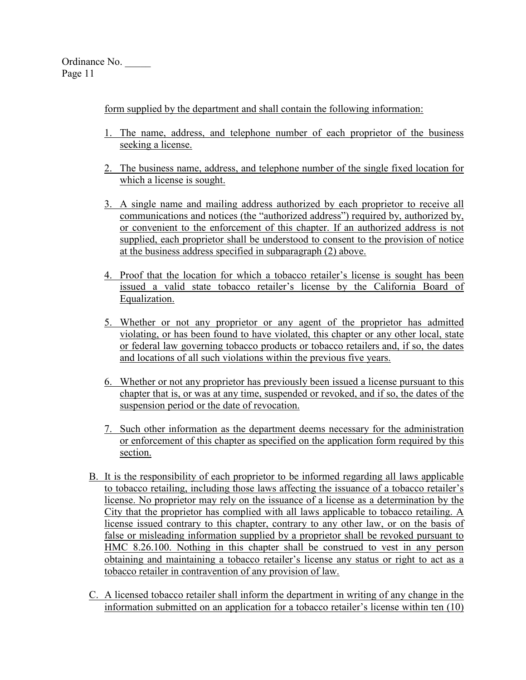form supplied by the department and shall contain the following information:

- 1. The name, address, and telephone number of each proprietor of the business seeking a license.
- 2. The business name, address, and telephone number of the single fixed location for which a license is sought.
- 3. A single name and mailing address authorized by each proprietor to receive all communications and notices (the "authorized address") required by, authorized by, or convenient to the enforcement of this chapter. If an authorized address is not supplied, each proprietor shall be understood to consent to the provision of notice at the business address specified in subparagraph (2) above.
- 4. Proof that the location for which a tobacco retailer's license is sought has been issued a valid state tobacco retailer's license by the California Board of Equalization.
- 5. Whether or not any proprietor or any agent of the proprietor has admitted violating, or has been found to have violated, this chapter or any other local, state or federal law governing tobacco products or tobacco retailers and, if so, the dates and locations of all such violations within the previous five years.
- 6. Whether or not any proprietor has previously been issued a license pursuant to this chapter that is, or was at any time, suspended or revoked, and if so, the dates of the suspension period or the date of revocation.
- 7. Such other information as the department deems necessary for the administration or enforcement of this chapter as specified on the application form required by this section.
- B. It is the responsibility of each proprietor to be informed regarding all laws applicable to tobacco retailing, including those laws affecting the issuance of a tobacco retailer's license. No proprietor may rely on the issuance of a license as a determination by the City that the proprietor has complied with all laws applicable to tobacco retailing. A license issued contrary to this chapter, contrary to any other law, or on the basis of false or misleading information supplied by a proprietor shall be revoked pursuant to HMC 8.26.100. Nothing in this chapter shall be construed to vest in any person obtaining and maintaining a tobacco retailer's license any status or right to act as a tobacco retailer in contravention of any provision of law.
- C. A licensed tobacco retailer shall inform the department in writing of any change in the information submitted on an application for a tobacco retailer's license within ten (10)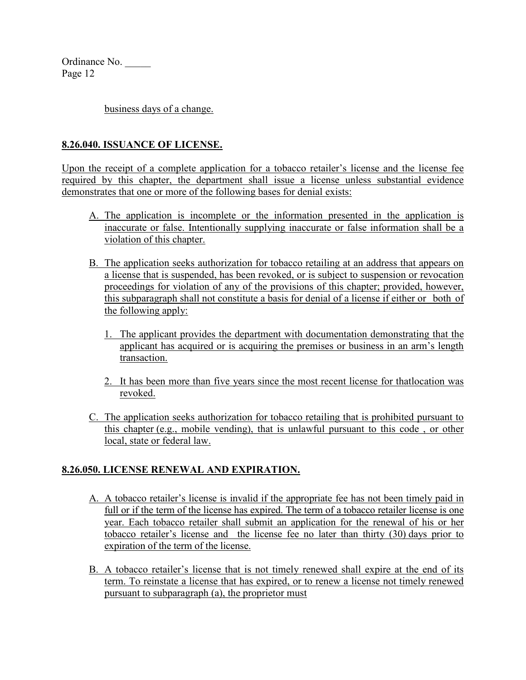business days of a change.

### **8.26.040. ISSUANCE OF LICENSE.**

Upon the receipt of a complete application for a tobacco retailer's license and the license fee required by this chapter, the department shall issue a license unless substantial evidence demonstrates that one or more of the following bases for denial exists:

- A. The application is incomplete or the information presented in the application is inaccurate or false. Intentionally supplying inaccurate or false information shall be a violation of this chapter.
- B. The application seeks authorization for tobacco retailing at an address that appears on a license that is suspended, has been revoked, or is subject to suspension or revocation proceedings for violation of any of the provisions of this chapter; provided, however, this subparagraph shall not constitute a basis for denial of a license if either or both of the following apply:
	- 1. The applicant provides the department with documentation demonstrating that the applicant has acquired or is acquiring the premises or business in an arm's length transaction.
	- 2. It has been more than five years since the most recent license for thatlocation was revoked.
- C. The application seeks authorization for tobacco retailing that is prohibited pursuant to this chapter (e.g., mobile vending), that is unlawful pursuant to this code , or other local, state or federal law.

# **8.26.050. LICENSE RENEWAL AND EXPIRATION.**

- A. A tobacco retailer's license is invalid if the appropriate fee has not been timely paid in full or if the term of the license has expired. The term of a tobacco retailer license is one year. Each tobacco retailer shall submit an application for the renewal of his or her tobacco retailer's license and the license fee no later than thirty (30) days prior to expiration of the term of the license.
- B. A tobacco retailer's license that is not timely renewed shall expire at the end of its term. To reinstate a license that has expired, or to renew a license not timely renewed pursuant to subparagraph (a), the proprietor must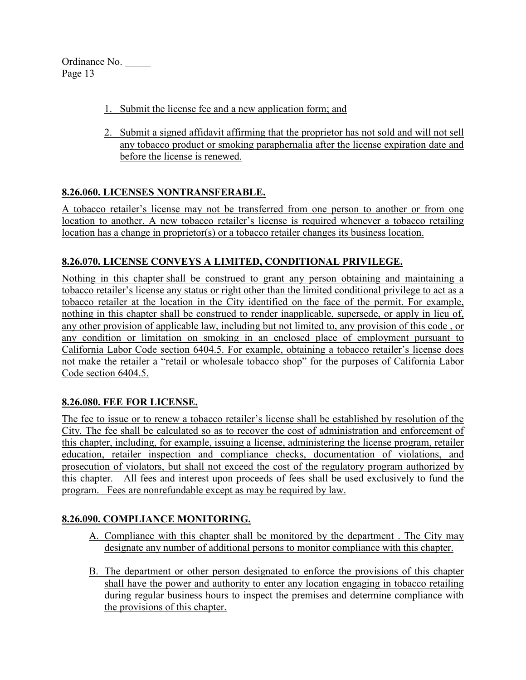- 1. Submit the license fee and a new application form; and
- 2. Submit a signed affidavit affirming that the proprietor has not sold and will not sell any tobacco product or smoking paraphernalia after the license expiration date and before the license is renewed.

# **8.26.060. LICENSES NONTRANSFERABLE.**

A tobacco retailer's license may not be transferred from one person to another or from one location to another. A new tobacco retailer's license is required whenever a tobacco retailing location has a change in proprietor(s) or a tobacco retailer changes its business location.

# **8.26.070. LICENSE CONVEYS A LIMITED, CONDITIONAL PRIVILEGE.**

Nothing in this chapter shall be construed to grant any person obtaining and maintaining a tobacco retailer's license any status or right other than the limited conditional privilege to act as a tobacco retailer at the location in the City identified on the face of the permit. For example, nothing in this chapter shall be construed to render inapplicable, supersede, or apply in lieu of, any other provision of applicable law, including but not limited to, any provision of this code , or any condition or limitation on smoking in an enclosed place of employment pursuant to California Labor Code section 6404.5. For example, obtaining a tobacco retailer's license does not make the retailer a "retail or wholesale tobacco shop" for the purposes of California Labor Code section 6404.5.

# **8.26.080. FEE FOR LICENSE.**

The fee to issue or to renew a tobacco retailer's license shall be established by resolution of the City. The fee shall be calculated so as to recover the cost of administration and enforcement of this chapter, including, for example, issuing a license, administering the license program, retailer education, retailer inspection and compliance checks, documentation of violations, and prosecution of violators, but shall not exceed the cost of the regulatory program authorized by this chapter. All fees and interest upon proceeds of fees shall be used exclusively to fund the program. Fees are nonrefundable except as may be required by law.

# **8.26.090. COMPLIANCE MONITORING.**

- A. Compliance with this chapter shall be monitored by the department . The City may designate any number of additional persons to monitor compliance with this chapter.
- B. The department or other person designated to enforce the provisions of this chapter shall have the power and authority to enter any location engaging in tobacco retailing during regular business hours to inspect the premises and determine compliance with the provisions of this chapter.